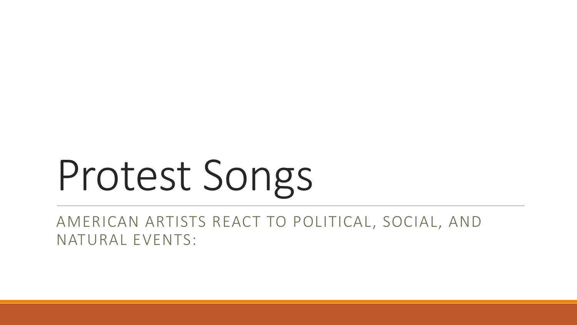# Protest Songs

AMERICAN ARTISTS REACT TO POLITICAL, SOCIAL, AND NATURAL EVENTS: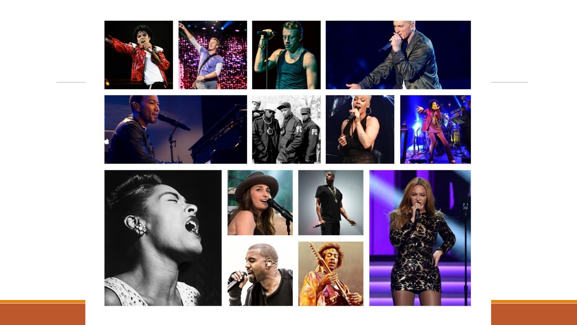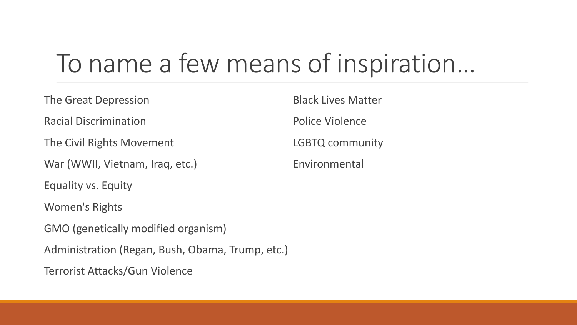#### To name a few means of inspiration...

| The Great Depression            | <b>Black Lives Matter</b> |
|---------------------------------|---------------------------|
| <b>Racial Discrimination</b>    | <b>Police Violence</b>    |
| The Civil Rights Movement       | LGBTQ community           |
| War (WWII, Vietnam, Iraq, etc.) | Environmental             |
| Equality vs. Equity             |                           |
|                                 |                           |

Women's Rights

GMO (genetically modified organism)

Administration (Regan, Bush, Obama, Trump, etc.)

Terrorist Attacks/Gun Violence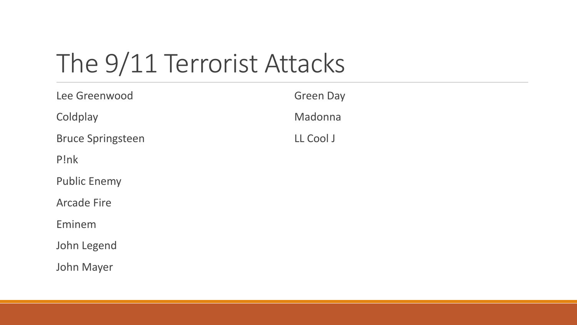### The 9/11 Terrorist Attacks

| Lee Greenwood            | <b>Green Day</b> |
|--------------------------|------------------|
| Coldplay                 | Madonna          |
| <b>Bruce Springsteen</b> | LL Cool J        |
| Pink                     |                  |
| <b>Public Enemy</b>      |                  |
| <b>Arcade Fire</b>       |                  |
| Eminem                   |                  |
| John Legend              |                  |
|                          |                  |

John Mayer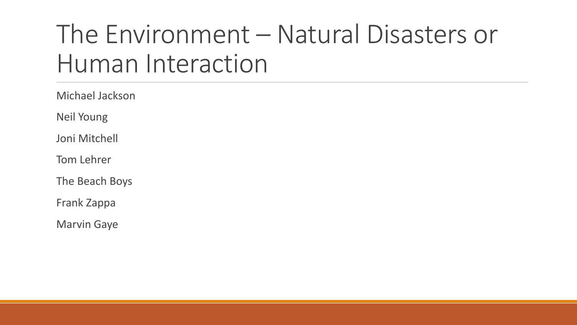### The Environment – Natural Disasters or Human Interaction

Michael Jackson

**Neil Young** 

Joni Mitchell

Tom Lehrer

The Beach Boys

Frank Zappa

**Marvin Gaye**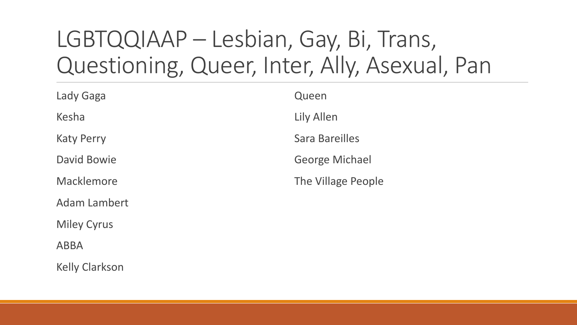#### LGBTQQIAAP - Lesbian, Gay, Bi, Trans, Questioning, Queer, Inter, Ally, Asexual, Pan

| Lady Gaga             | Queen                 |
|-----------------------|-----------------------|
| Kesha                 | Lily Allen            |
| <b>Katy Perry</b>     | <b>Sara Bareilles</b> |
| David Bowie           | <b>George Michael</b> |
| Macklemore            | The Village People    |
| <b>Adam Lambert</b>   |                       |
| <b>Miley Cyrus</b>    |                       |
| <b>ABBA</b>           |                       |
| <b>Kelly Clarkson</b> |                       |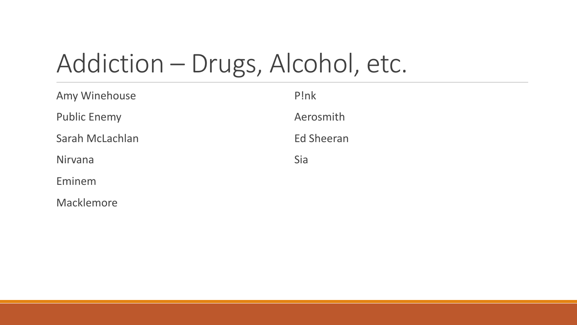#### Addiction – Drugs, Alcohol, etc.

Macklemore

| Amy Winehouse       | P!nk       |
|---------------------|------------|
| <b>Public Enemy</b> | Aerosmith  |
| Sarah McLachlan     | Ed Sheeran |
| Nirvana             | Sia        |
| Eminem              |            |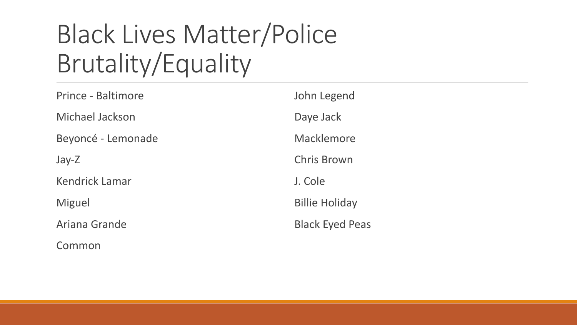## **Black Lives Matter/Police** Brutality/Equality

| Prince - Baltimore    | John Legend           |
|-----------------------|-----------------------|
| Michael Jackson       | Daye Jack             |
| Beyoncé - Lemonade    | Macklemore            |
| Jay-Z                 | <b>Chris Brown</b>    |
| <b>Kendrick Lamar</b> | J. Cole               |
| Miguel                | <b>Billie Holiday</b> |
| Ariana Grande         | <b>Black Eyed Pe</b>  |
| Common                |                       |

eas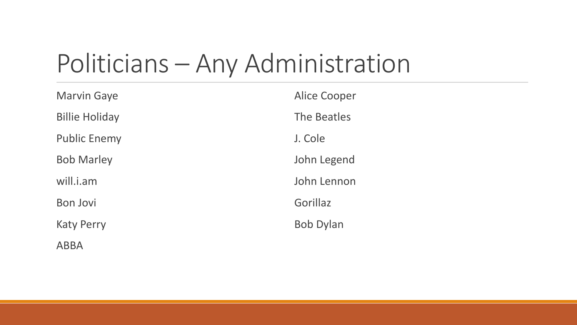#### Politicians – Any Administration

| <b>Marvin Gaye</b>    | <b>Alice Cooper</b> |
|-----------------------|---------------------|
| <b>Billie Holiday</b> | The Beatles         |
| <b>Public Enemy</b>   | J. Cole             |
| <b>Bob Marley</b>     | John Legend         |
| will.i.am             | John Lennon         |
| Bon Jovi              | Gorillaz            |
| <b>Katy Perry</b>     | <b>Bob Dylan</b>    |
| <b>ABBA</b>           |                     |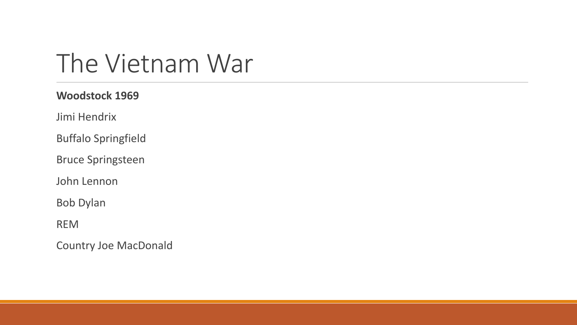#### The Vietnam War

#### **Woodstock 1969**

Jimi Hendrix

Buffalo Springfield

Bruce Springsteen

John Lennon

Bob Dylan

REM

Country Joe MacDonald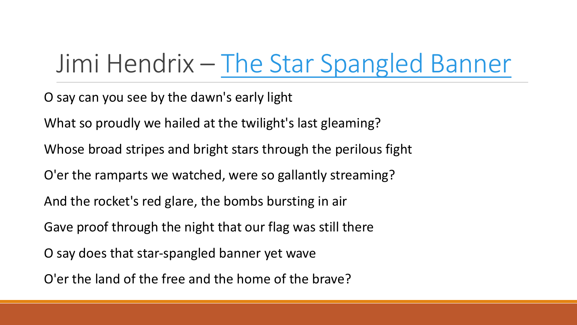#### Jimi Hendrix - The Star Spangled Banner

O say can you see by the dawn's early light

What so proudly we hailed at the twilight's last gleaming?

Whose broad stripes and bright stars through the perilous fight

O'er the ramparts we watched, were so gallantly streaming?

And the rocket's red glare, the bombs bursting in air

Gave proof through the night that our flag was still there

O say does that star-spangled banner yet wave

O'er the land of the free and the home of the brave?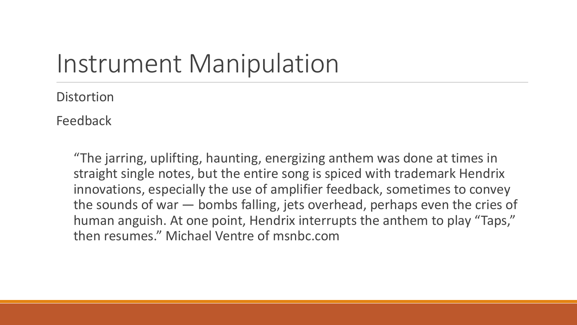#### Instrument Manipulation

**Distortion** 

Feedback

"The jarring, uplifting, haunting, energizing anthem was done at times in straight single notes, but the entire song is spiced with trademark Hendrix innovations, especially the use of amplifier feedback, sometimes to convey the sounds of war  $-$  bombs falling, jets overhead, perhaps even the cries of human anguish. At one point, Hendrix interrupts the anthem to play "Taps," then resumes." Michael Ventre of msnbc.com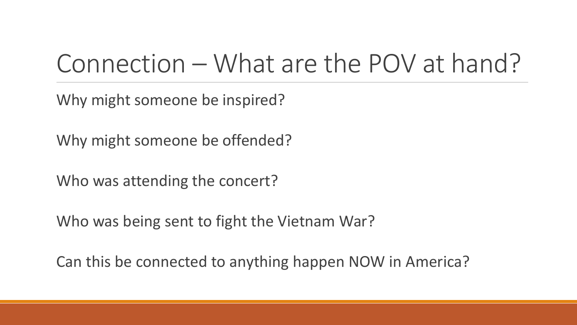#### Connection  $-$  What are the POV at hand?

Why might someone be inspired?

Why might someone be offended?

Who was attending the concert?

Who was being sent to fight the Vietnam War?

Can this be connected to anything happen NOW in America?